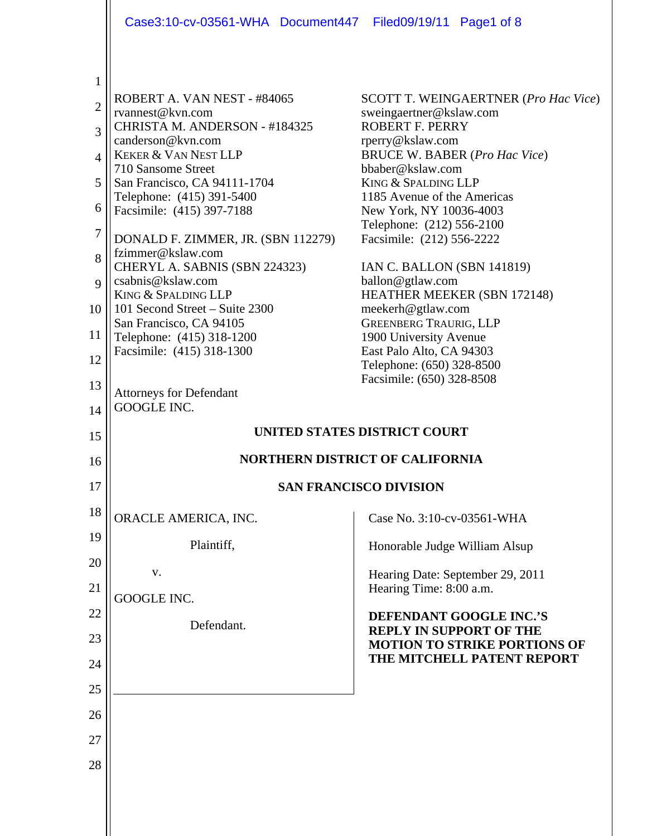|                     | Case3:10-cv-03561-WHA Document447 Filed09/19/11 Page1 of 8                                     |                                                                                                  |  |
|---------------------|------------------------------------------------------------------------------------------------|--------------------------------------------------------------------------------------------------|--|
| 1<br>$\overline{2}$ | ROBERT A. VAN NEST - #84065<br>rvannest@kvn.com<br>CHRISTA M. ANDERSON - #184325               | <b>SCOTT T. WEINGAERTNER (Pro Hac Vice)</b><br>sweingaertner@kslaw.com<br><b>ROBERT F. PERRY</b> |  |
| 3<br>4              | canderson@kvn.com<br><b>KEKER &amp; VAN NEST LLP</b>                                           | rperry@kslaw.com<br><b>BRUCE W. BABER (Pro Hac Vice)</b>                                         |  |
| 5                   | 710 Sansome Street<br>San Francisco, CA 94111-1704                                             | bbaber@kslaw.com<br>KING & SPALDING LLP                                                          |  |
| 6                   | Telephone: (415) 391-5400<br>Facsimile: (415) 397-7188                                         | 1185 Avenue of the Americas<br>New York, NY 10036-4003                                           |  |
| 7                   | DONALD F. ZIMMER, JR. (SBN 112279)                                                             | Telephone: (212) 556-2100<br>Facsimile: (212) 556-2222                                           |  |
| 8<br>9              | fzimmer@kslaw.com<br>CHERYL A. SABNIS (SBN 224323)<br>csabnis@kslaw.com<br>KING & SPALDING LLP | IAN C. BALLON (SBN 141819)<br>ballon@gtlaw.com<br>HEATHER MEEKER (SBN 172148)                    |  |
| 10                  | 101 Second Street – Suite 2300<br>San Francisco, CA 94105                                      | meekerh@gtlaw.com<br><b>GREENBERG TRAURIG, LLP</b>                                               |  |
| 11                  | Telephone: (415) 318-1200<br>Facsimile: (415) 318-1300                                         | 1900 University Avenue<br>East Palo Alto, CA 94303                                               |  |
| 12                  |                                                                                                | Telephone: (650) 328-8500<br>Facsimile: (650) 328-8508                                           |  |
| 13<br>14            | <b>Attorneys for Defendant</b><br><b>GOOGLE INC.</b>                                           |                                                                                                  |  |
| 15                  | <b>UNITED STATES DISTRICT COURT</b>                                                            |                                                                                                  |  |
| 16                  | <b>NORTHERN DISTRICT OF CALIFORNIA</b>                                                         |                                                                                                  |  |
| 17                  | <b>SAN FRANCISCO DIVISION</b>                                                                  |                                                                                                  |  |
| 18                  | ORACLE AMERICA, INC.                                                                           | Case No. 3:10-cv-03561-WHA                                                                       |  |
| 19                  | Plaintiff,                                                                                     | Honorable Judge William Alsup                                                                    |  |
| 20<br>21            | V.                                                                                             | Hearing Date: September 29, 2011<br>Hearing Time: 8:00 a.m.                                      |  |
| 22                  | <b>GOOGLE INC.</b>                                                                             | DEFENDANT GOOGLE INC.'S                                                                          |  |
| 23                  | Defendant.                                                                                     | <b>REPLY IN SUPPORT OF THE</b><br><b>MOTION TO STRIKE PORTIONS OF</b>                            |  |
| 24                  |                                                                                                | THE MITCHELL PATENT REPORT                                                                       |  |
| 25                  |                                                                                                |                                                                                                  |  |
|                     |                                                                                                |                                                                                                  |  |
| 26                  |                                                                                                |                                                                                                  |  |
| 27                  |                                                                                                |                                                                                                  |  |
| 28                  |                                                                                                |                                                                                                  |  |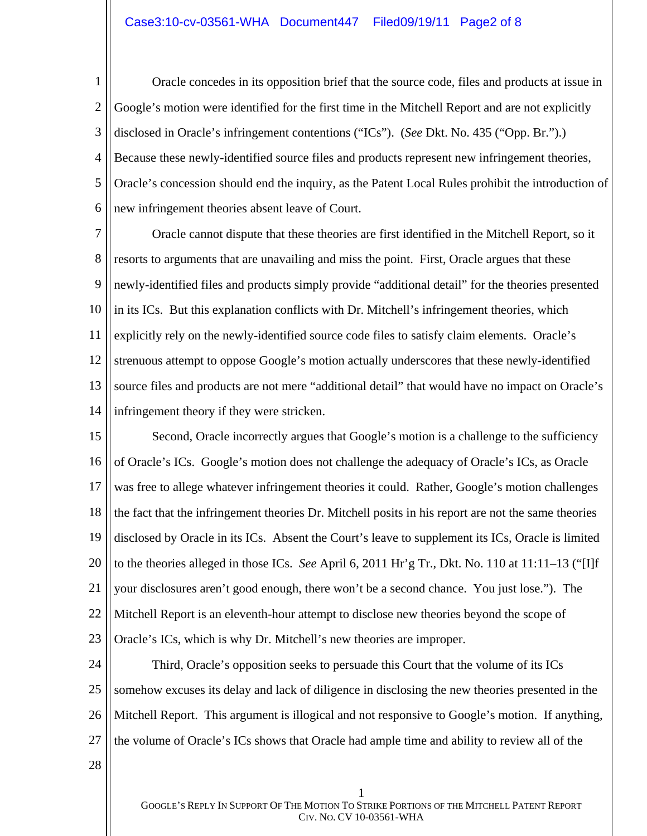#### Case3:10-cv-03561-WHA Document447 Filed09/19/11 Page2 of 8

1 2 3 4 5 6 Oracle concedes in its opposition brief that the source code, files and products at issue in Google's motion were identified for the first time in the Mitchell Report and are not explicitly disclosed in Oracle's infringement contentions ("ICs"). (*See* Dkt. No. 435 ("Opp. Br.").) Because these newly-identified source files and products represent new infringement theories, Oracle's concession should end the inquiry, as the Patent Local Rules prohibit the introduction of new infringement theories absent leave of Court.

7 8 9 10 11 12 13 14 Oracle cannot dispute that these theories are first identified in the Mitchell Report, so it resorts to arguments that are unavailing and miss the point. First, Oracle argues that these newly-identified files and products simply provide "additional detail" for the theories presented in its ICs. But this explanation conflicts with Dr. Mitchell's infringement theories, which explicitly rely on the newly-identified source code files to satisfy claim elements. Oracle's strenuous attempt to oppose Google's motion actually underscores that these newly-identified source files and products are not mere "additional detail" that would have no impact on Oracle's infringement theory if they were stricken.

15 16 17 18 19 20 21 22 23 Second, Oracle incorrectly argues that Google's motion is a challenge to the sufficiency of Oracle's ICs. Google's motion does not challenge the adequacy of Oracle's ICs, as Oracle was free to allege whatever infringement theories it could. Rather, Google's motion challenges the fact that the infringement theories Dr. Mitchell posits in his report are not the same theories disclosed by Oracle in its ICs. Absent the Court's leave to supplement its ICs, Oracle is limited to the theories alleged in those ICs. *See* April 6, 2011 Hr'g Tr., Dkt. No. 110 at 11:11–13 ("[I]f your disclosures aren't good enough, there won't be a second chance. You just lose."). The Mitchell Report is an eleventh-hour attempt to disclose new theories beyond the scope of Oracle's ICs, which is why Dr. Mitchell's new theories are improper.

24 25 26 27 Third, Oracle's opposition seeks to persuade this Court that the volume of its ICs somehow excuses its delay and lack of diligence in disclosing the new theories presented in the Mitchell Report. This argument is illogical and not responsive to Google's motion. If anything, the volume of Oracle's ICs shows that Oracle had ample time and ability to review all of the

28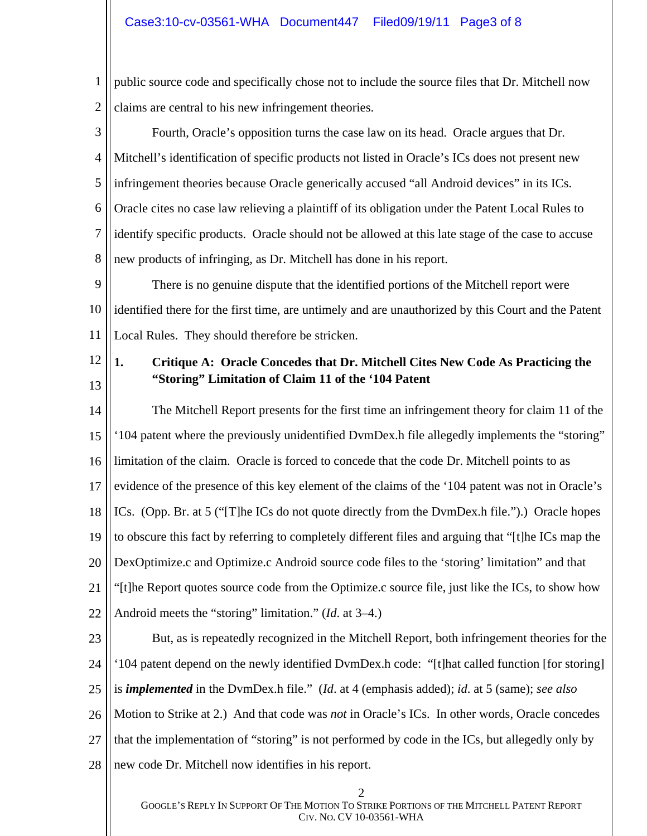1 2 public source code and specifically chose not to include the source files that Dr. Mitchell now claims are central to his new infringement theories.

3 4 5 6 7 8 Fourth, Oracle's opposition turns the case law on its head. Oracle argues that Dr. Mitchell's identification of specific products not listed in Oracle's ICs does not present new infringement theories because Oracle generically accused "all Android devices" in its ICs. Oracle cites no case law relieving a plaintiff of its obligation under the Patent Local Rules to identify specific products. Oracle should not be allowed at this late stage of the case to accuse new products of infringing, as Dr. Mitchell has done in his report.

9 10 11 There is no genuine dispute that the identified portions of the Mitchell report were identified there for the first time, are untimely and are unauthorized by this Court and the Patent Local Rules. They should therefore be stricken.

12 13

# **1. Critique A: Oracle Concedes that Dr. Mitchell Cites New Code As Practicing the "Storing" Limitation of Claim 11 of the '104 Patent**

14 15 16 17 18 19 20 21 22 The Mitchell Report presents for the first time an infringement theory for claim 11 of the '104 patent where the previously unidentified DvmDex.h file allegedly implements the "storing" limitation of the claim. Oracle is forced to concede that the code Dr. Mitchell points to as evidence of the presence of this key element of the claims of the '104 patent was not in Oracle's ICs. (Opp. Br. at 5 ("[T]he ICs do not quote directly from the DvmDex.h file.").) Oracle hopes to obscure this fact by referring to completely different files and arguing that "[t]he ICs map the DexOptimize.c and Optimize.c Android source code files to the 'storing' limitation" and that "[t]he Report quotes source code from the Optimize.c source file, just like the ICs, to show how Android meets the "storing" limitation." (*Id*. at 3–4.)

23

24 25 26 27 But, as is repeatedly recognized in the Mitchell Report, both infringement theories for the '104 patent depend on the newly identified DvmDex.h code: "[t]hat called function [for storing] is *implemented* in the DvmDex.h file." (*Id*. at 4 (emphasis added); *id*. at 5 (same); *see also*  Motion to Strike at 2.) And that code was *not* in Oracle's ICs. In other words, Oracle concedes that the implementation of "storing" is not performed by code in the ICs, but allegedly only by

28 new code Dr. Mitchell now identifies in his report.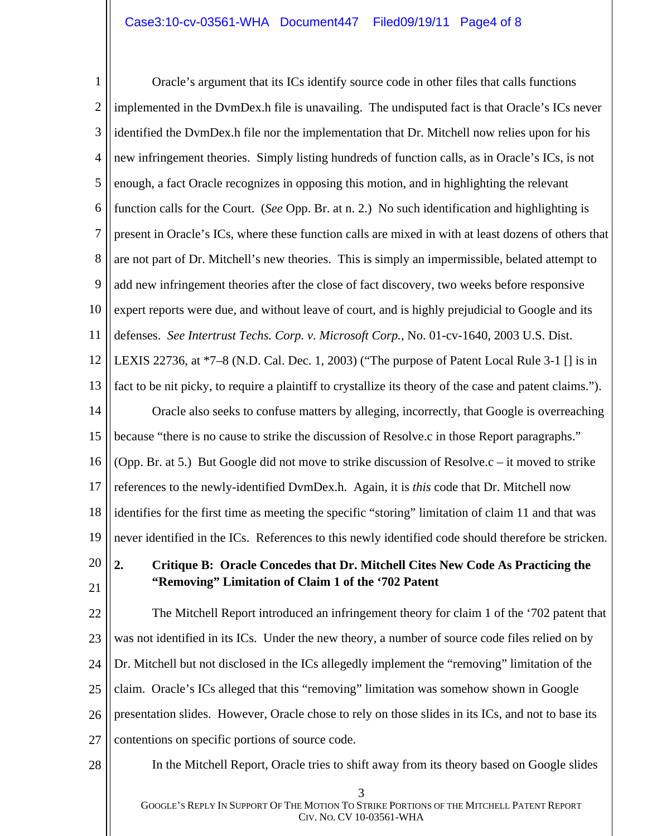### Case3:10-cv-03561-WHA Document447 Filed09/19/11 Page4 of 8

1 2 3 4 5 6 7 8 9 10 11 12 13 14 15 16 17 18 19 20 21 22 23 24 25 Oracle's argument that its ICs identify source code in other files that calls functions implemented in the DvmDex.h file is unavailing. The undisputed fact is that Oracle's ICs never identified the DvmDex.h file nor the implementation that Dr. Mitchell now relies upon for his new infringement theories. Simply listing hundreds of function calls, as in Oracle's ICs, is not enough, a fact Oracle recognizes in opposing this motion, and in highlighting the relevant function calls for the Court. (*See* Opp. Br. at n. 2.) No such identification and highlighting is present in Oracle's ICs, where these function calls are mixed in with at least dozens of others that are not part of Dr. Mitchell's new theories. This is simply an impermissible, belated attempt to add new infringement theories after the close of fact discovery, two weeks before responsive expert reports were due, and without leave of court, and is highly prejudicial to Google and its defenses. *See Intertrust Techs. Corp. v. Microsoft Corp.*, No. 01-cv-1640, 2003 U.S. Dist. LEXIS 22736, at \*7–8 (N.D. Cal. Dec. 1, 2003) ("The purpose of Patent Local Rule 3-1 [] is in fact to be nit picky, to require a plaintiff to crystallize its theory of the case and patent claims."). Oracle also seeks to confuse matters by alleging, incorrectly, that Google is overreaching because "there is no cause to strike the discussion of Resolve.c in those Report paragraphs." (Opp. Br. at 5.) But Google did not move to strike discussion of Resolve.c – it moved to strike references to the newly-identified DvmDex.h. Again, it is *this* code that Dr. Mitchell now identifies for the first time as meeting the specific "storing" limitation of claim 11 and that was never identified in the ICs. References to this newly identified code should therefore be stricken. **2. Critique B: Oracle Concedes that Dr. Mitchell Cites New Code As Practicing the "Removing" Limitation of Claim 1 of the '702 Patent**  The Mitchell Report introduced an infringement theory for claim 1 of the '702 patent that was not identified in its ICs. Under the new theory, a number of source code files relied on by Dr. Mitchell but not disclosed in the ICs allegedly implement the "removing" limitation of the claim. Oracle's ICs alleged that this "removing" limitation was somehow shown in Google

26 presentation slides. However, Oracle chose to rely on those slides in its ICs, and not to base its

27 contentions on specific portions of source code.

28

In the Mitchell Report, Oracle tries to shift away from its theory based on Google slides

3 GOOGLE'S REPLY IN SUPPORT OF THE MOTION TO STRIKE PORTIONS OF THE MITCHELL PATENT REPORT CIV. NO. CV 10-03561-WHA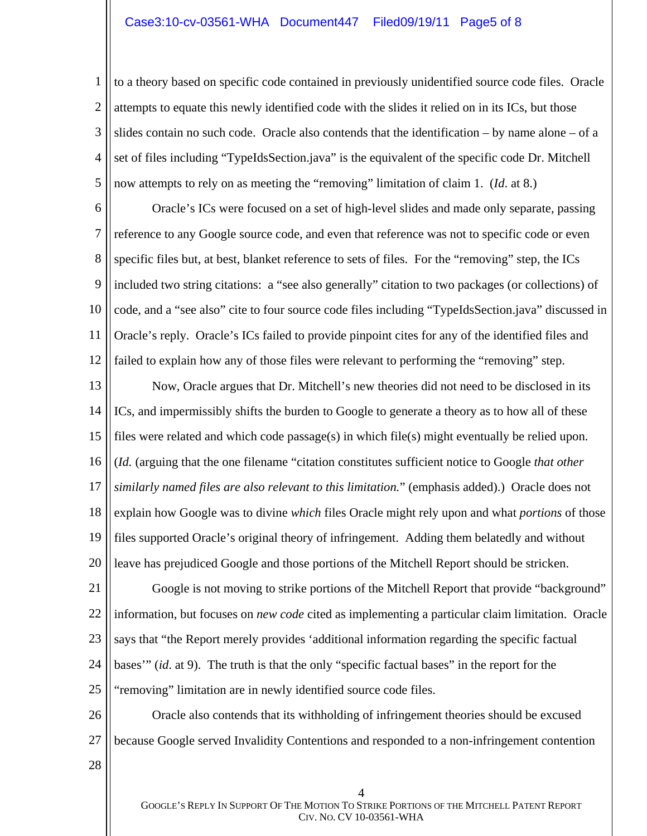#### Case3:10-cv-03561-WHA Document447 Filed09/19/11 Page5 of 8

1 2 3 4 5 to a theory based on specific code contained in previously unidentified source code files. Oracle attempts to equate this newly identified code with the slides it relied on in its ICs, but those slides contain no such code. Oracle also contends that the identification  $-$  by name alone  $-$  of a set of files including "TypeIdsSection.java" is the equivalent of the specific code Dr. Mitchell now attempts to rely on as meeting the "removing" limitation of claim 1. (*Id*. at 8.)

6 7 8 9 10 11 12 Oracle's ICs were focused on a set of high-level slides and made only separate, passing reference to any Google source code, and even that reference was not to specific code or even specific files but, at best, blanket reference to sets of files. For the "removing" step, the ICs included two string citations: a "see also generally" citation to two packages (or collections) of code, and a "see also" cite to four source code files including "TypeIdsSection.java" discussed in Oracle's reply. Oracle's ICs failed to provide pinpoint cites for any of the identified files and failed to explain how any of those files were relevant to performing the "removing" step.

13 14 15 16 17 18 19 20 Now, Oracle argues that Dr. Mitchell's new theories did not need to be disclosed in its ICs, and impermissibly shifts the burden to Google to generate a theory as to how all of these files were related and which code passage(s) in which file(s) might eventually be relied upon. (*Id.* (arguing that the one filename "citation constitutes sufficient notice to Google *that other similarly named files are also relevant to this limitation.*" (emphasis added).) Oracle does not explain how Google was to divine *which* files Oracle might rely upon and what *portions* of those files supported Oracle's original theory of infringement. Adding them belatedly and without leave has prejudiced Google and those portions of the Mitchell Report should be stricken.

21 22 23 24 25 Google is not moving to strike portions of the Mitchell Report that provide "background" information, but focuses on *new code* cited as implementing a particular claim limitation. Oracle says that "the Report merely provides 'additional information regarding the specific factual bases'" (*id*. at 9). The truth is that the only "specific factual bases" in the report for the "removing" limitation are in newly identified source code files.

26 27 Oracle also contends that its withholding of infringement theories should be excused because Google served Invalidity Contentions and responded to a non-infringement contention

28

4 GOOGLE'S REPLY IN SUPPORT OF THE MOTION TO STRIKE PORTIONS OF THE MITCHELL PATENT REPORT CIV. NO. CV 10-03561-WHA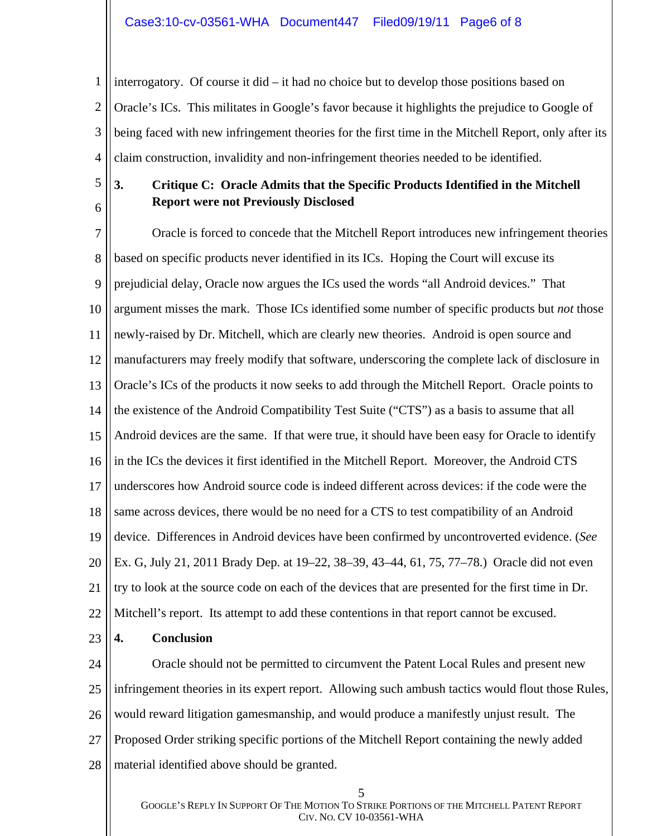### Case3:10-cv-03561-WHA Document447 Filed09/19/11 Page6 of 8

1 2 3 4 interrogatory. Of course it did – it had no choice but to develop those positions based on Oracle's ICs. This militates in Google's favor because it highlights the prejudice to Google of being faced with new infringement theories for the first time in the Mitchell Report, only after its claim construction, invalidity and non-infringement theories needed to be identified.

5 6

# **3. Critique C: Oracle Admits that the Specific Products Identified in the Mitchell Report were not Previously Disclosed**

7 8 9 10 11 12 13 14 15 16 17 18 19 20 21 22 Oracle is forced to concede that the Mitchell Report introduces new infringement theories based on specific products never identified in its ICs. Hoping the Court will excuse its prejudicial delay, Oracle now argues the ICs used the words "all Android devices." That argument misses the mark. Those ICs identified some number of specific products but *not* those newly-raised by Dr. Mitchell, which are clearly new theories. Android is open source and manufacturers may freely modify that software, underscoring the complete lack of disclosure in Oracle's ICs of the products it now seeks to add through the Mitchell Report. Oracle points to the existence of the Android Compatibility Test Suite ("CTS") as a basis to assume that all Android devices are the same. If that were true, it should have been easy for Oracle to identify in the ICs the devices it first identified in the Mitchell Report. Moreover, the Android CTS underscores how Android source code is indeed different across devices: if the code were the same across devices, there would be no need for a CTS to test compatibility of an Android device. Differences in Android devices have been confirmed by uncontroverted evidence. (*See* Ex. G, July 21, 2011 Brady Dep. at 19–22, 38–39, 43–44, 61, 75, 77–78.) Oracle did not even try to look at the source code on each of the devices that are presented for the first time in Dr. Mitchell's report. Its attempt to add these contentions in that report cannot be excused.

23 **4. Conclusion** 

24 25 26 27 28 Oracle should not be permitted to circumvent the Patent Local Rules and present new infringement theories in its expert report. Allowing such ambush tactics would flout those Rules, would reward litigation gamesmanship, and would produce a manifestly unjust result. The Proposed Order striking specific portions of the Mitchell Report containing the newly added material identified above should be granted.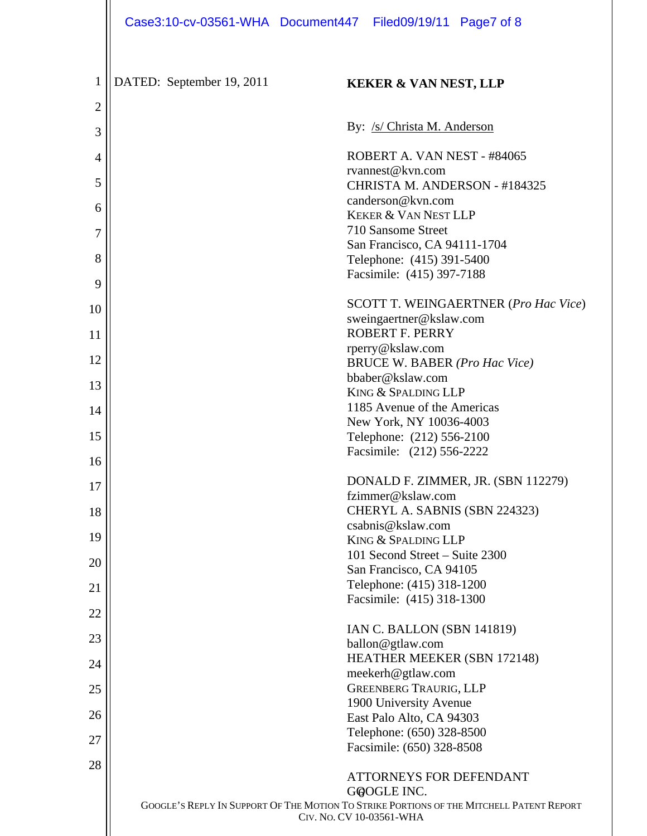|                     |                           | Case3:10-cv-03561-WHA Document447 Filed09/19/11 Page7 of 8                                                           |
|---------------------|---------------------------|----------------------------------------------------------------------------------------------------------------------|
|                     |                           |                                                                                                                      |
| 1<br>$\overline{2}$ | DATED: September 19, 2011 | <b>KEKER &amp; VAN NEST, LLP</b>                                                                                     |
|                     |                           | By: /s/ Christa M. Anderson                                                                                          |
| 3                   |                           |                                                                                                                      |
| 4                   |                           | ROBERT A. VAN NEST - #84065<br>rvannest@kvn.com                                                                      |
| 5                   |                           | CHRISTA M. ANDERSON - #184325<br>canderson@kvn.com                                                                   |
| 6                   |                           | <b>KEKER &amp; VAN NEST LLP</b>                                                                                      |
| 7                   |                           | 710 Sansome Street<br>San Francisco, CA 94111-1704                                                                   |
| 8                   |                           | Telephone: (415) 391-5400                                                                                            |
| 9                   |                           | Facsimile: (415) 397-7188                                                                                            |
| 10                  |                           | <b>SCOTT T. WEINGAERTNER (Pro Hac Vice)</b><br>sweingaertner@kslaw.com                                               |
| 11                  |                           | <b>ROBERT F. PERRY</b>                                                                                               |
| 12                  |                           | rperry@kslaw.com<br><b>BRUCE W. BABER (Pro Hac Vice)</b>                                                             |
| 13                  |                           | bbaber@kslaw.com                                                                                                     |
| 14                  |                           | KING & SPALDING LLP<br>1185 Avenue of the Americas                                                                   |
|                     |                           | New York, NY 10036-4003                                                                                              |
| 15                  |                           | Telephone: (212) 556-2100<br>Facsimile: (212) 556-2222                                                               |
| 16                  |                           | DONALD F. ZIMMER, JR. (SBN 112279)                                                                                   |
| 17                  |                           | fzimmer@kslaw.com                                                                                                    |
| 18                  |                           | CHERYL A. SABNIS (SBN 224323)<br>csabnis@kslaw.com                                                                   |
| 19                  |                           | KING & SPALDING LLP                                                                                                  |
| 20                  |                           | 101 Second Street - Suite 2300<br>San Francisco, CA 94105                                                            |
| 21                  |                           | Telephone: (415) 318-1200                                                                                            |
|                     |                           | Facsimile: (415) 318-1300                                                                                            |
| 22                  |                           | <b>IAN C. BALLON (SBN 141819)</b>                                                                                    |
| 23                  |                           | ballon@gtlaw.com<br><b>HEATHER MEEKER (SBN 172148)</b>                                                               |
| 24                  |                           | meekerh@gtlaw.com                                                                                                    |
| 25                  |                           | <b>GREENBERG TRAURIG, LLP</b>                                                                                        |
| 26                  |                           | 1900 University Avenue<br>East Palo Alto, CA 94303                                                                   |
|                     |                           | Telephone: (650) 328-8500                                                                                            |
| 27                  |                           | Facsimile: (650) 328-8508                                                                                            |
| 28                  |                           | <b>ATTORNEYS FOR DEFENDANT</b>                                                                                       |
|                     |                           | GOOGLE INC.                                                                                                          |
|                     |                           | GOOGLE'S REPLY IN SUPPORT OF THE MOTION TO STRIKE PORTIONS OF THE MITCHELL PATENT REPORT<br>CIV. No. CV 10-03561-WHA |